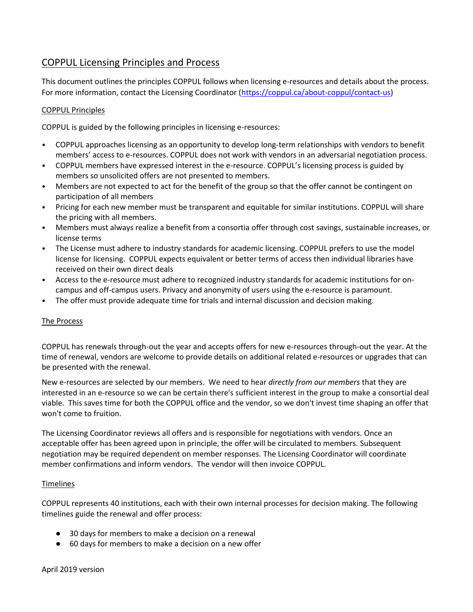# COPPUL Licensing Principles and Process

This document outlines the principles COPPUL follows when licensing e-resources and details about the process. For more information, contact the Licensing Coordinator [\(https://coppul.ca/about-coppul/contact-us\)](https://coppul.ca/about-coppul/contact-us)

### COPPUL Principles

COPPUL is guided by the following principles in licensing e-resources:

- COPPUL approaches licensing as an opportunity to develop long-term relationships with vendors to benefit members' access to e-resources. COPPUL does not work with vendors in an adversarial negotiation process.
- COPPUL members have expressed interest in the e-resource. COPPUL's licensing process is guided by members so unsolicited offers are not presented to members.
- Members are not expected to act for the benefit of the group so that the offer cannot be contingent on participation of all members
- Pricing for each new member must be transparent and equitable for similar institutions. COPPUL will share the pricing with all members.
- Members must always realize a benefit from a consortia offer through cost savings, sustainable increases, or license terms
- The License must adhere to industry standards for academic licensing. COPPUL prefers to use the model license for licensing. COPPUL expects equivalent or better terms of access then individual libraries have received on their own direct deals
- Access to the e-resource must adhere to recognized industry standards for academic institutions for oncampus and off-campus users. Privacy and anonymity of users using the e-resource is paramount.
- The offer must provide adequate time for trials and internal discussion and decision making.

## The Process

COPPUL has renewals through-out the year and accepts offers for new e-resources through-out the year. At the time of renewal, vendors are welcome to provide details on additional related e-resources or upgrades that can be presented with the renewal.

New e-resources are selected by our members. We need to hear *directly from our members* that they are interested in an e-resource so we can be certain there's sufficient interest in the group to make a consortial deal viable. This saves time for both the COPPUL office and the vendor, so we don't invest time shaping an offer that won't come to fruition.

The Licensing Coordinator reviews all offers and is responsible for negotiations with vendors. Once an acceptable offer has been agreed upon in principle, the offer will be circulated to members. Subsequent negotiation may be required dependent on member responses. The Licensing Coordinator will coordinate member confirmations and inform vendors. The vendor will then invoice COPPUL.

#### Timelines

COPPUL represents 40 institutions, each with their own internal processes for decision making. The following timelines guide the renewal and offer process:

- 30 days for members to make a decision on a renewal
- 60 days for members to make a decision on a new offer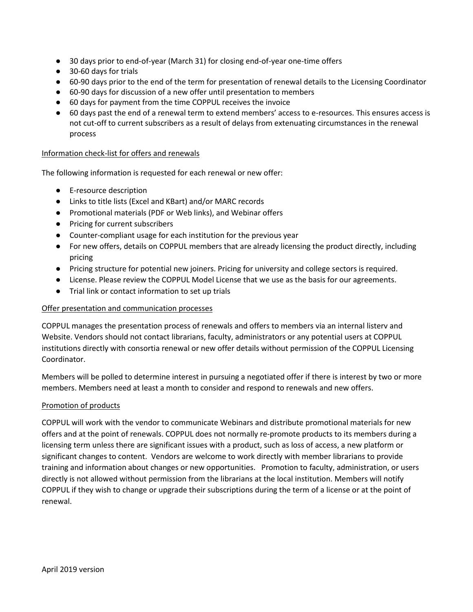- 30 days prior to end-of-year (March 31) for closing end-of-year one-time offers
- 30-60 days for trials
- 60-90 days prior to the end of the term for presentation of renewal details to the Licensing Coordinator
- 60-90 days for discussion of a new offer until presentation to members
- 60 days for payment from the time COPPUL receives the invoice
- 60 days past the end of a renewal term to extend members' access to e-resources. This ensures access is not cut-off to current subscribers as a result of delays from extenuating circumstances in the renewal process

#### Information check-list for offers and renewals

The following information is requested for each renewal or new offer:

- E-resource description
- Links to title lists (Excel and KBart) and/or MARC records
- Promotional materials (PDF or Web links), and Webinar offers
- Pricing for current subscribers
- Counter-compliant usage for each institution for the previous year
- For new offers, details on COPPUL members that are already licensing the product directly, including pricing
- Pricing structure for potential new joiners. Pricing for university and college sectors is required.
- License. Please review the [COPPUL Model License](https://coppul.ca/sites/default/files/uploads/Model_license2017.docx) that we use as the basis for our agreements.
- Trial link or contact information to set up trials

#### Offer presentation and communication processes

COPPUL manages the presentation process of renewals and offers to members via an internal listerv and Website. Vendors should not contact librarians, faculty, administrators or any potential users at COPPUL institutions directly with consortia renewal or new offer details without permission of the COPPUL Licensing Coordinator.

Members will be polled to determine interest in pursuing a negotiated offer if there is interest by two or more members. Members need at least a month to consider and respond to renewals and new offers.

#### Promotion of products

COPPUL will work with the vendor to communicate Webinars and distribute promotional materials for new offers and at the point of renewals. COPPUL does not normally re-promote products to its members during a licensing term unless there are significant issues with a product, such as loss of access, a new platform or significant changes to content. Vendors are welcome to work directly with member librarians to provide training and information about changes or new opportunities. Promotion to faculty, administration, or users directly is not allowed without permission from the librarians at the local institution. Members will notify COPPUL if they wish to change or upgrade their subscriptions during the term of a license or at the point of renewal.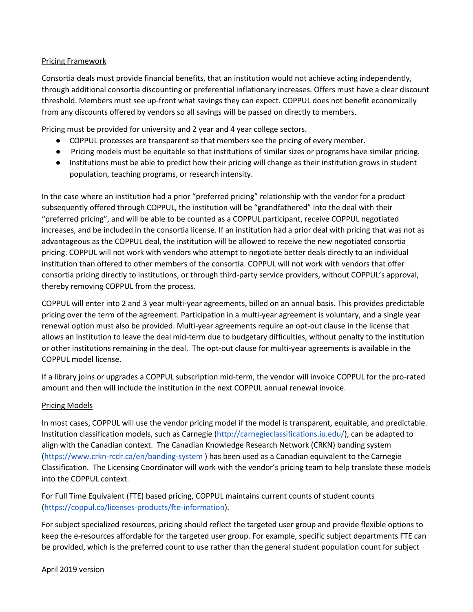#### Pricing Framework

Consortia deals must provide financial benefits, that an institution would not achieve acting independently, through additional consortia discounting or preferential inflationary increases. Offers must have a clear discount threshold. Members must see up-front what savings they can expect. COPPUL does not benefit economically from any discounts offered by vendors so all savings will be passed on directly to members.

Pricing must be provided for university and 2 year and 4 year college sectors.

- COPPUL processes are transparent so that members see the pricing of every member.
- Pricing models must be equitable so that institutions of similar sizes or programs have similar pricing.
- Institutions must be able to predict how their pricing will change as their institution grows in student population, teaching programs, or research intensity.

In the case where an institution had a prior "preferred pricing" relationship with the vendor for a product subsequently offered through COPPUL, the institution will be "grandfathered" into the deal with their "preferred pricing", and will be able to be counted as a COPPUL participant, receive COPPUL negotiated increases, and be included in the consortia license. If an institution had a prior deal with pricing that was not as advantageous as the COPPUL deal, the institution will be allowed to receive the new negotiated consortia pricing. COPPUL will not work with vendors who attempt to negotiate better deals directly to an individual institution than offered to other members of the consortia. COPPUL will not work with vendors that offer consortia pricing directly to institutions, or through third-party service providers, without COPPUL's approval, thereby removing COPPUL from the process.

COPPUL will enter into 2 and 3 year multi-year agreements, billed on an annual basis. This provides predictable pricing over the term of the agreement. Participation in a multi-year agreement is voluntary, and a single year renewal option must also be provided. Multi-year agreements require an opt-out clause in the license that allows an institution to leave the deal mid-term due to budgetary difficulties, without penalty to the institution or other institutions remaining in the deal. The opt-out clause for multi-year agreements is available in the COPPUL model license.

If a library joins or upgrades a COPPUL subscription mid-term, the vendor will invoice COPPUL for the pro-rated amount and then will include the institution in the next COPPUL annual renewal invoice.

#### Pricing Models

In most cases, COPPUL will use the vendor pricing model if the model is transparent, equitable, and predictable. Institution classification models, such as Carnegie [\(http://carnegieclassifications.iu.edu/\)](http://carnegieclassifications.iu.edu/), can be adapted to align with the Canadian context. The Canadian Knowledge Research Network (CRKN) banding system [\(https://www.crkn-rcdr.ca/en/banding-system](https://www.crkn-rcdr.ca/en/banding-system) ) has been used as a Canadian equivalent to the Carnegie Classification. The Licensing Coordinator will work with the vendor's pricing team to help translate these models into the COPPUL context.

For Full Time Equivalent (FTE) based pricing, COPPUL maintains current counts of student counts [\(https://coppul.ca/licenses-products/fte-information\)](https://coppul.ca/licenses-products/fte-information).

For subject specialized resources, pricing should reflect the targeted user group and provide flexible options to keep the e-resources affordable for the targeted user group. For example, specific subject departments FTE can be provided, which is the preferred count to use rather than the general student population count for subject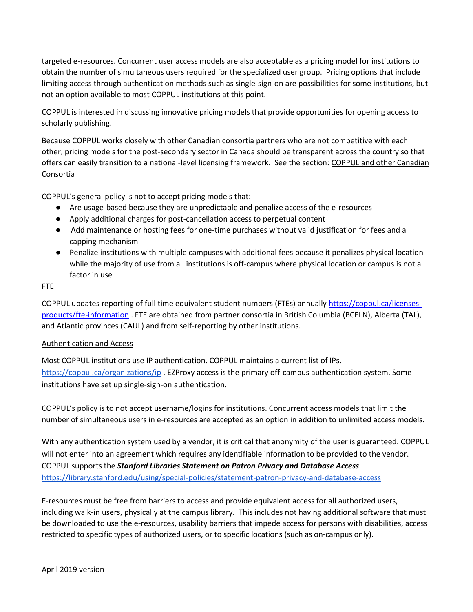targeted e-resources. Concurrent user access models are also acceptable as a pricing model for institutions to obtain the number of simultaneous users required for the specialized user group. Pricing options that include limiting access through authentication methods such as single-sign-on are possibilities for some institutions, but not an option available to most COPPUL institutions at this point.

COPPUL is interested in discussing innovative pricing models that provide opportunities for opening access to scholarly publishing.

Because COPPUL works closely with other Canadian consortia partners who are not competitive with each other, pricing models for the post-secondary sector in Canada should be transparent across the country so that offers can easily transition to a national-level licensing framework. See the section: COPPUL and other Canadian **Consortia** 

COPPUL's general policy is not to accept pricing models that:

- Are usage-based because they are unpredictable and penalize access of the e-resources
- Apply additional charges for post-cancellation access to perpetual content
- Add maintenance or hosting fees for one-time purchases without valid justification for fees and a capping mechanism
- Penalize institutions with multiple campuses with additional fees because it penalizes physical location while the majority of use from all institutions is off-campus where physical location or campus is not a factor in use

## FTE

COPPUL updates reporting of full time equivalent student numbers (FTEs) annuall[y https://coppul.ca/licenses](https://coppul.ca/licenses-products/fte-information)[products/fte-information](https://coppul.ca/licenses-products/fte-information) . FTE are obtained from partner consortia in British Columbia (BCELN), Alberta (TAL), and Atlantic provinces (CAUL) and from self-reporting by other institutions.

## Authentication and Access

Most COPPUL institutions use IP authentication. COPPUL maintains a current list of IPs[.](https://coppul.ca/organizations/ip) <https://coppul.ca/organizations/ip> . EZProxy access is the primary off-campus authentication system. Some institutions have set up single-sign-on authentication.

COPPUL's policy is to not accept username/logins for institutions. Concurrent access models that limit the number of simultaneous users in e-resources are accepted as an option in addition to unlimited access models.

With any authentication system used by a vendor, it is critical that anonymity of the user is guaranteed. COPPUL will not enter into an agreement which requires any identifiable information to be provided to the vendor. COPPUL supports the *Stanford Libraries Statement on Patron Privacy and Database Access*  <https://library.stanford.edu/using/special-policies/statement-patron-privacy-and-database-access>

E-resources must be free from barriers to access and provide equivalent access for all authorized users, including walk-in users, physically at the campus library. This includes not having additional software that must be downloaded to use the e-resources, usability barriers that impede access for persons with disabilities, access restricted to specific types of authorized users, or to specific locations (such as on-campus only).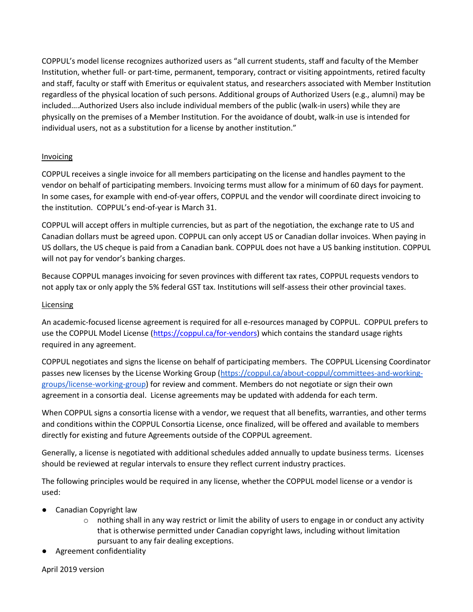COPPUL's model license recognizes authorized users as "all current students, staff and faculty of the Member Institution, whether full- or part-time, permanent, temporary, contract or visiting appointments, retired faculty and staff, faculty or staff with Emeritus or equivalent status, and researchers associated with Member Institution regardless of the physical location of such persons. Additional groups of Authorized Users (e.g., alumni) may be included….Authorized Users also include individual members of the public (walk-in users) while they are physically on the premises of a Member Institution. For the avoidance of doubt, walk-in use is intended for individual users, not as a substitution for a license by another institution."

## Invoicing

COPPUL receives a single invoice for all members participating on the license and handles payment to the vendor on behalf of participating members. Invoicing terms must allow for a minimum of 60 days for payment. In some cases, for example with end-of-year offers, COPPUL and the vendor will coordinate direct invoicing to the institution. COPPUL's end-of-year is March 31.

COPPUL will accept offers in multiple currencies, but as part of the negotiation, the exchange rate to US and Canadian dollars must be agreed upon. COPPUL can only accept US or Canadian dollar invoices. When paying in US dollars, the US cheque is paid from a Canadian bank. COPPUL does not have a US banking institution. COPPUL will not pay for vendor's banking charges.

Because COPPUL manages invoicing for seven provinces with different tax rates, COPPUL requests vendors to not apply tax or only apply the 5% federal GST tax. Institutions will self-assess their other provincial taxes.

## Licensing

An academic-focused license agreement is required for all e-resources managed by COPPUL. COPPUL prefers to use the COPPUL Model License [\(https://coppul.ca/for-vendors\)](https://coppul.ca/for-vendors) which contains the standard usage rights required in any agreement.

COPPUL negotiates and signs the license on behalf of participating members. The COPPUL Licensing Coordinator passes new licenses by the License Working Group [\(https://coppul.ca/about-coppul/committees-and-working](https://coppul.ca/about-coppul/committees-and-working-groups/license-working-group)[groups/license-working-group\)](https://coppul.ca/about-coppul/committees-and-working-groups/license-working-group) for review and comment. Members do not negotiate or sign their own agreement in a consortia deal. License agreements may be updated with addenda for each term.

When COPPUL signs a consortia license with a vendor, we request that all benefits, warranties, and other terms and conditions within the COPPUL Consortia License, once finalized, will be offered and available to members directly for existing and future Agreements outside of the COPPUL agreement.

Generally, a license is negotiated with additional schedules added annually to update business terms. Licenses should be reviewed at regular intervals to ensure they reflect current industry practices.

The following principles would be required in any license, whether the COPPUL model license or a vendor is used:

- **Canadian Copyright law** 
	- $\circ$  nothing shall in any way restrict or limit the ability of users to engage in or conduct any activity that is otherwise permitted under Canadian copyright laws, including without limitation pursuant to any fair dealing exceptions.
- Agreement confidentiality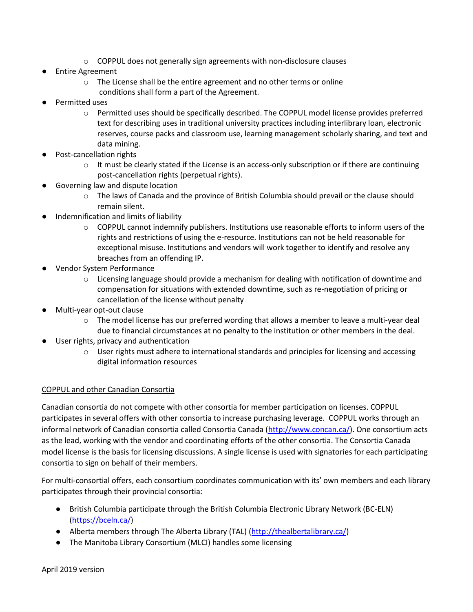- $\circ$  COPPUL does not generally sign agreements with non-disclosure clauses
- **Entire Agreement** 
	- o The License shall be the entire agreement and no other terms or online conditions shall form a part of the Agreement.
- Permitted uses
	- o Permitted uses should be specifically described. The COPPUL model license provides preferred text for describing uses in traditional university practices including interlibrary loan, electronic reserves, course packs and classroom use, learning management scholarly sharing, and text and data mining.
- Post-cancellation rights
	- $\circ$  It must be clearly stated if the License is an access-only subscription or if there are continuing post-cancellation rights (perpetual rights).
- Governing law and dispute location
	- o The laws of Canada and the province of British Columbia should prevail or the clause should remain silent.
- Indemnification and limits of liability
	- $\circ$  COPPUL cannot indemnify publishers. Institutions use reasonable efforts to inform users of the rights and restrictions of using the e-resource. Institutions can not be held reasonable for exceptional misuse. Institutions and vendors will work together to identify and resolve any breaches from an offending IP.
- Vendor System Performance
	- $\circ$  Licensing language should provide a mechanism for dealing with notification of downtime and compensation for situations with extended downtime, such as re-negotiation of pricing or cancellation of the license without penalty
- Multi-year opt-out clause
	- $\circ$  The model license has our preferred wording that allows a member to leave a multi-year deal due to financial circumstances at no penalty to the institution or other members in the deal.
- User rights, privacy and authentication
	- $\circ$  User rights must adhere to international standards and principles for licensing and accessing digital information resources

#### COPPUL and other Canadian Consortia

Canadian consortia do not compete with other consortia for member participation on licenses. COPPUL participates in several offers with other consortia to increase purchasing leverage. COPPUL works through an informal network of Canadian consortia called Consortia Canada [\(http://www.concan.ca/\)](http://www.concan.ca/). One consortium acts as the lead, working with the vendor and coordinating efforts of the other consortia. The Consortia Canada model license is the basis for licensing discussions. A single license is used with signatories for each participating consortia to sign on behalf of their members.

For multi-consortial offers, each consortium coordinates communication with its' own members and each library participates through their provincial consortia:

- British Columbia participate through the British Columbia Electronic Library Network (BC-ELN) [\(https://bceln.ca/\)](https://bceln.ca/)
- Alberta members through The Alberta Library (TAL) [\(http://thealbertalibrary.ca/\)](http://thealbertalibrary.ca/)
- The Manitoba Library Consortium (MLCI) handles some licensing